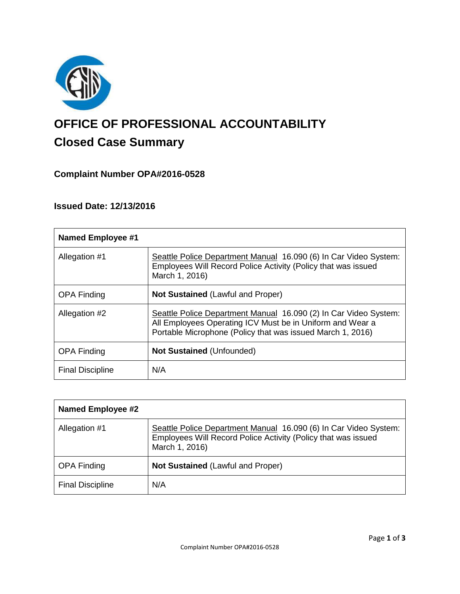

# **OFFICE OF PROFESSIONAL ACCOUNTABILITY Closed Case Summary**

## **Complaint Number OPA#2016-0528**

## **Issued Date: 12/13/2016**

| <b>Named Employee #1</b> |                                                                                                                                                                                             |
|--------------------------|---------------------------------------------------------------------------------------------------------------------------------------------------------------------------------------------|
| Allegation #1            | Seattle Police Department Manual 16.090 (6) In Car Video System:<br>Employees Will Record Police Activity (Policy that was issued<br>March 1, 2016)                                         |
| <b>OPA Finding</b>       | <b>Not Sustained (Lawful and Proper)</b>                                                                                                                                                    |
| Allegation #2            | Seattle Police Department Manual 16.090 (2) In Car Video System:<br>All Employees Operating ICV Must be in Uniform and Wear a<br>Portable Microphone (Policy that was issued March 1, 2016) |
| <b>OPA Finding</b>       | <b>Not Sustained (Unfounded)</b>                                                                                                                                                            |
| <b>Final Discipline</b>  | N/A                                                                                                                                                                                         |

| <b>Named Employee #2</b> |                                                                                                                                                     |
|--------------------------|-----------------------------------------------------------------------------------------------------------------------------------------------------|
| Allegation #1            | Seattle Police Department Manual 16.090 (6) In Car Video System:<br>Employees Will Record Police Activity (Policy that was issued<br>March 1, 2016) |
| <b>OPA Finding</b>       | <b>Not Sustained (Lawful and Proper)</b>                                                                                                            |
| <b>Final Discipline</b>  | N/A                                                                                                                                                 |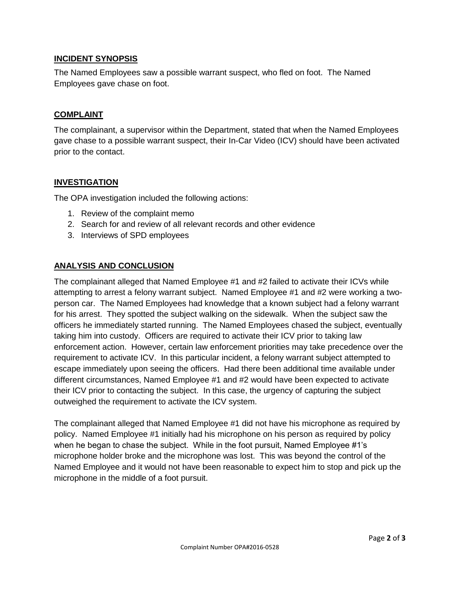## **INCIDENT SYNOPSIS**

The Named Employees saw a possible warrant suspect, who fled on foot. The Named Employees gave chase on foot.

#### **COMPLAINT**

The complainant, a supervisor within the Department, stated that when the Named Employees gave chase to a possible warrant suspect, their In-Car Video (ICV) should have been activated prior to the contact.

#### **INVESTIGATION**

The OPA investigation included the following actions:

- 1. Review of the complaint memo
- 2. Search for and review of all relevant records and other evidence
- 3. Interviews of SPD employees

## **ANALYSIS AND CONCLUSION**

The complainant alleged that Named Employee #1 and #2 failed to activate their ICVs while attempting to arrest a felony warrant subject. Named Employee #1 and #2 were working a twoperson car. The Named Employees had knowledge that a known subject had a felony warrant for his arrest. They spotted the subject walking on the sidewalk. When the subject saw the officers he immediately started running. The Named Employees chased the subject, eventually taking him into custody. Officers are required to activate their ICV prior to taking law enforcement action. However, certain law enforcement priorities may take precedence over the requirement to activate ICV. In this particular incident, a felony warrant subject attempted to escape immediately upon seeing the officers. Had there been additional time available under different circumstances, Named Employee #1 and #2 would have been expected to activate their ICV prior to contacting the subject. In this case, the urgency of capturing the subject outweighed the requirement to activate the ICV system.

The complainant alleged that Named Employee #1 did not have his microphone as required by policy. Named Employee #1 initially had his microphone on his person as required by policy when he began to chase the subject. While in the foot pursuit, Named Employee #1's microphone holder broke and the microphone was lost. This was beyond the control of the Named Employee and it would not have been reasonable to expect him to stop and pick up the microphone in the middle of a foot pursuit.